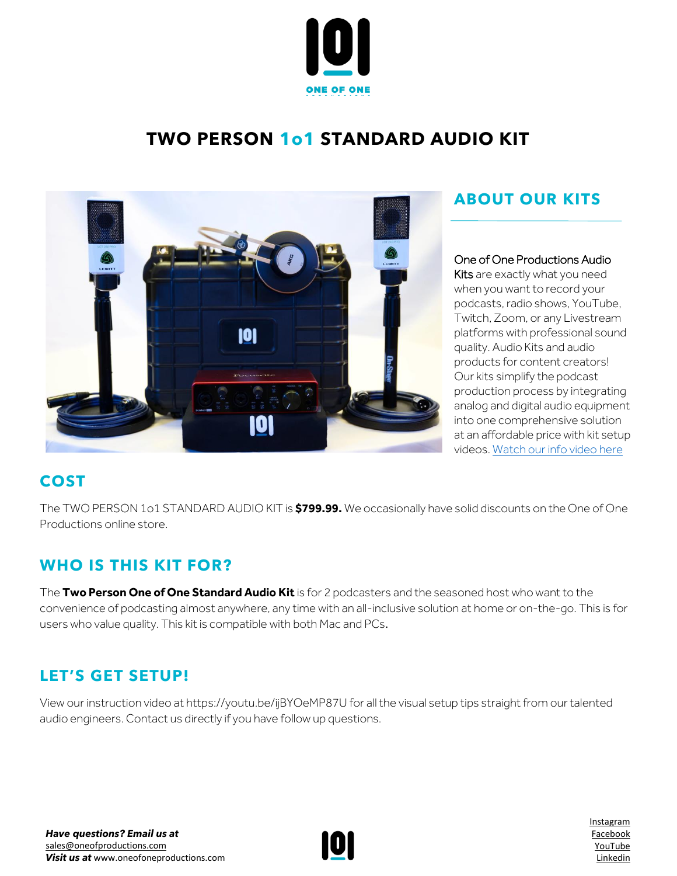

# **TWO PERSON 1o1 STANDARD AUDIO KIT**



# **ABOUT OUR KITS**

#### One of One Productions Audio

Kits are exactly what you need when you want to record your podcasts, radio shows, YouTube, Twitch, Zoom, or any Livestream platforms with professional sound quality. Audio Kits and audio products for content creators! Our kits simplify the podcast production process by integrating analog and digital audio equipment into one comprehensive solution at an affordable price with kit setup videos[. Watch our info video here](https://www.youtube.com/watch?v=azt8UKdf2mI)

# **COST**

The TWO PERSON 1o1 STANDARD AUDIO KIT is **\$799.99.** We occasionally have solid discounts on the One of One Productions online store.

### **WHO IS THIS KIT FOR?**

The **Two Person One of One Standard Audio Kit** is for 2 podcasters and the seasoned host who want to the convenience of podcasting almost anywhere, any time with an all-inclusive solution at home or on-the-go. This is for users who value quality. This kit is compatible with both Mac and PCs.

### **LET'S GET SETUP!**

View our instruction video at https://youtu.be/ijBYOeMP87U for all the visual setup tips straight from our talented audio engineers. Contact us directly if you have follow up questions.



[Instagram](http://www.instagram.com/oneofoneprostudio) [Facebook](http://www.facebook.com/oneofoneprostudio) [YouTube](https://www.youtube.com/channel/UC7rXqaZ33g4xGBeQXeCHT7Q/videos) [Linkedin](http://www.linkedin.com/company/one-of-one-productions-studio/)